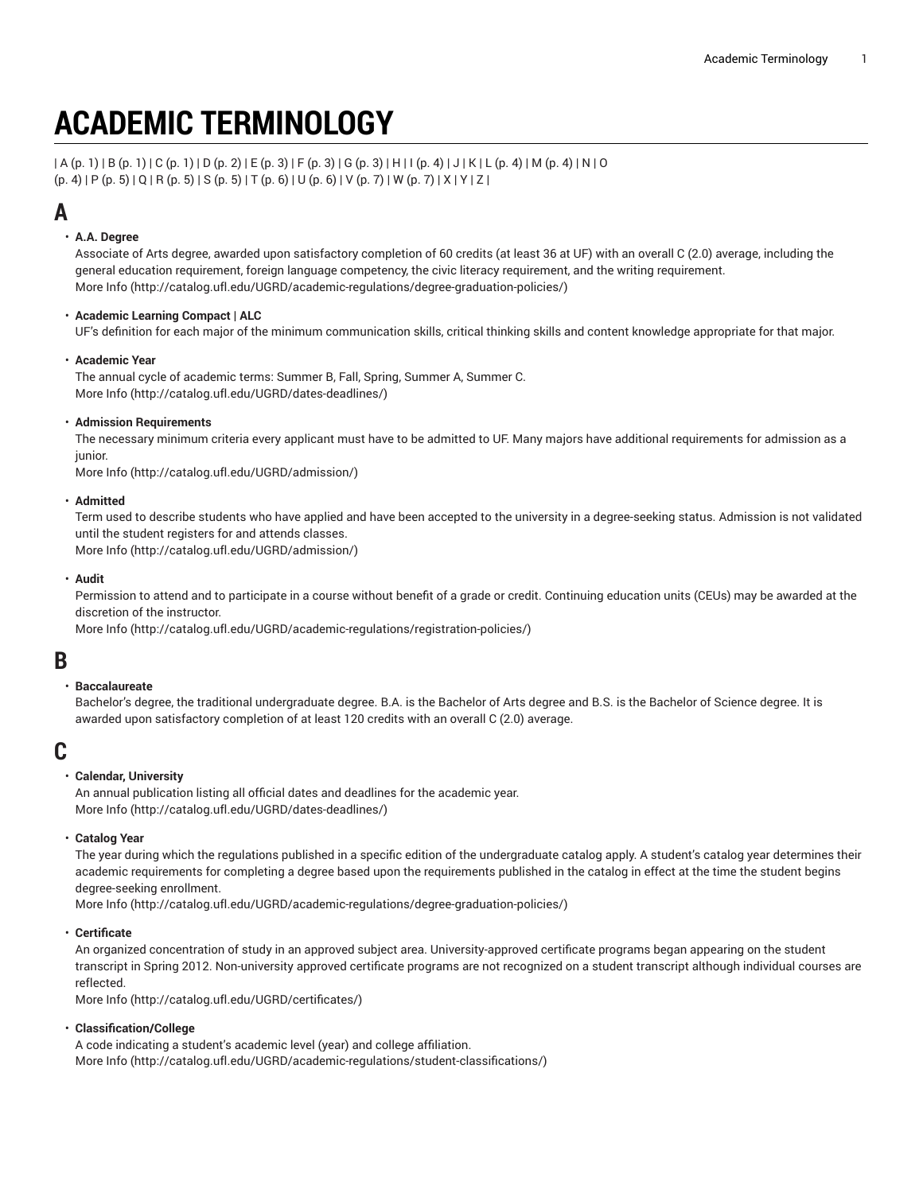# **ACADEMIC TERMINOLOGY**

 $(A(p, 1) | B(p, 1) | C(p, 1) | D(p, 2) | E(p, 3) | F(p, 3) | G(p, 3) | H | (p, 4) | J | K | L (p, 4) | M (p, 4) | N | O$  $(A(p, 1) | B(p, 1) | C(p, 1) | D(p, 2) | E(p, 3) | F(p, 3) | G(p, 3) | H | (p, 4) | J | K | L (p, 4) | M (p, 4) | N | O$  $(A(p, 1) | B(p, 1) | C(p, 1) | D(p, 2) | E(p, 3) | F(p, 3) | G(p, 3) | H | (p, 4) | J | K | L (p, 4) | M (p, 4) | N | O$  $(A(p, 1) | B(p, 1) | C(p, 1) | D(p, 2) | E(p, 3) | F(p, 3) | G(p, 3) | H | (p, 4) | J | K | L (p, 4) | M (p, 4) | N | O$  $(A(p, 1) | B(p, 1) | C(p, 1) | D(p, 2) | E(p, 3) | F(p, 3) | G(p, 3) | H | (p, 4) | J | K | L (p, 4) | M (p, 4) | N | O$  $(A(p, 1) | B(p, 1) | C(p, 1) | D(p, 2) | E(p, 3) | F(p, 3) | G(p, 3) | H | (p, 4) | J | K | L (p, 4) | M (p, 4) | N | O$  $(A(p, 1) | B(p, 1) | C(p, 1) | D(p, 2) | E(p, 3) | F(p, 3) | G(p, 3) | H | (p, 4) | J | K | L (p, 4) | M (p, 4) | N | O$  $(A(p, 1) | B(p, 1) | C(p, 1) | D(p, 2) | E(p, 3) | F(p, 3) | G(p, 3) | H | (p, 4) | J | K | L (p, 4) | M (p, 4) | N | O$  $(p. 4)$  $(p. 4)$  | [P \(p. 5](#page-4-0)) | Q | [R \(p. 5](#page-4-1)) | [S](#page-4-2) ([p. 5\)](#page-4-2) | [T](#page-5-0) ([p. 6\)](#page-5-1) | [U](#page-5-1) (p. 6) | [V](#page-6-0) [\(p. 7](#page-6-0)) | [W](#page-6-1) ([p. 7\)](#page-6-1) | X | Y | Z |

# <span id="page-0-0"></span>**A**

#### • **A.A. Degree**

Associate of Arts degree, awarded upon satisfactory completion of 60 credits (at least 36 at UF) with an overall C (2.0) average, including the general education requirement, foreign language competency, the civic literacy requirement, and the writing requirement. [More](http://catalog.ufl.edu/UGRD/academic-regulations/degree-graduation-policies/) Info [\(http://catalog.ufl.edu/UGRD/academic-regulations/degree-graduation-policies/](http://catalog.ufl.edu/UGRD/academic-regulations/degree-graduation-policies/))

#### • **Academic Learning Compact | ALC**

UF's definition for each major of the minimum communication skills, critical thinking skills and content knowledge appropriate for that major.

#### • **Academic Year**

The annual cycle of academic terms: Summer B, Fall, Spring, Summer A, Summer C. [More](http://catalog.ufl.edu/UGRD/dates-deadlines/) Info [\(http://catalog.ufl.edu/UGRD/dates-deadlines/\)](http://catalog.ufl.edu/UGRD/dates-deadlines/)

#### • **Admission Requirements**

The necessary minimum criteria every applicant must have to be admitted to UF. Many majors have additional requirements for admission as a junior.

[More](http://catalog.ufl.edu/UGRD/admission/) Info [\(http://catalog.ufl.edu/UGRD/admission/\)](http://catalog.ufl.edu/UGRD/admission/)

#### • **Admitted**

Term used to describe students who have applied and have been accepted to the university in a degree-seeking status. Admission is not validated until the student registers for and attends classes.

[More](http://catalog.ufl.edu/UGRD/admission/) Info [\(http://catalog.ufl.edu/UGRD/admission/\)](http://catalog.ufl.edu/UGRD/admission/)

#### • **Audit**

Permission to attend and to participate in a course without benefit of a grade or credit. Continuing education units (CEUs) may be awarded at the discretion of the instructor.

[More](http://catalog.ufl.edu/UGRD/academic-regulations/registration-policies/) Info [\(http://catalog.ufl.edu/UGRD/academic-regulations/registration-policies/\)](http://catalog.ufl.edu/UGRD/academic-regulations/registration-policies/)

### <span id="page-0-1"></span>**B**

#### • **Baccalaureate**

Bachelor's degree, the traditional undergraduate degree. B.A. is the Bachelor of Arts degree and B.S. is the Bachelor of Science degree. It is awarded upon satisfactory completion of at least 120 credits with an overall C (2.0) average.

### <span id="page-0-2"></span>**C**

#### • **Calendar, University**

An annual publication listing all official dates and deadlines for the academic year. [More](http://catalog.ufl.edu/UGRD/dates-deadlines/) Info [\(http://catalog.ufl.edu/UGRD/dates-deadlines/\)](http://catalog.ufl.edu/UGRD/dates-deadlines/)

#### • **Catalog Year**

The year during which the regulations published in a specific edition of the undergraduate catalog apply. A student's catalog year determines their academic requirements for completing a degree based upon the requirements published in the catalog in effect at the time the student begins degree-seeking enrollment.

[More](http://catalog.ufl.edu/UGRD/academic-regulations/degree-graduation-policies/) Info [\(http://catalog.ufl.edu/UGRD/academic-regulations/degree-graduation-policies/](http://catalog.ufl.edu/UGRD/academic-regulations/degree-graduation-policies/))

#### • **Certificate**

An organized concentration of study in an approved subject area. University-approved certificate programs began appearing on the student transcript in Spring 2012. Non-university approved certificate programs are not recognized on a student transcript although individual courses are reflected.

[More](http://catalog.ufl.edu/UGRD/certificates/) Info [\(http://catalog.ufl.edu/UGRD/certificates/\)](http://catalog.ufl.edu/UGRD/certificates/)

#### • **Classification/College**

A code indicating a student's academic level (year) and college affiliation. [More](http://catalog.ufl.edu/UGRD/academic-regulations/student-classifications/) Info [\(http://catalog.ufl.edu/UGRD/academic-regulations/student-classifications/](http://catalog.ufl.edu/UGRD/academic-regulations/student-classifications/))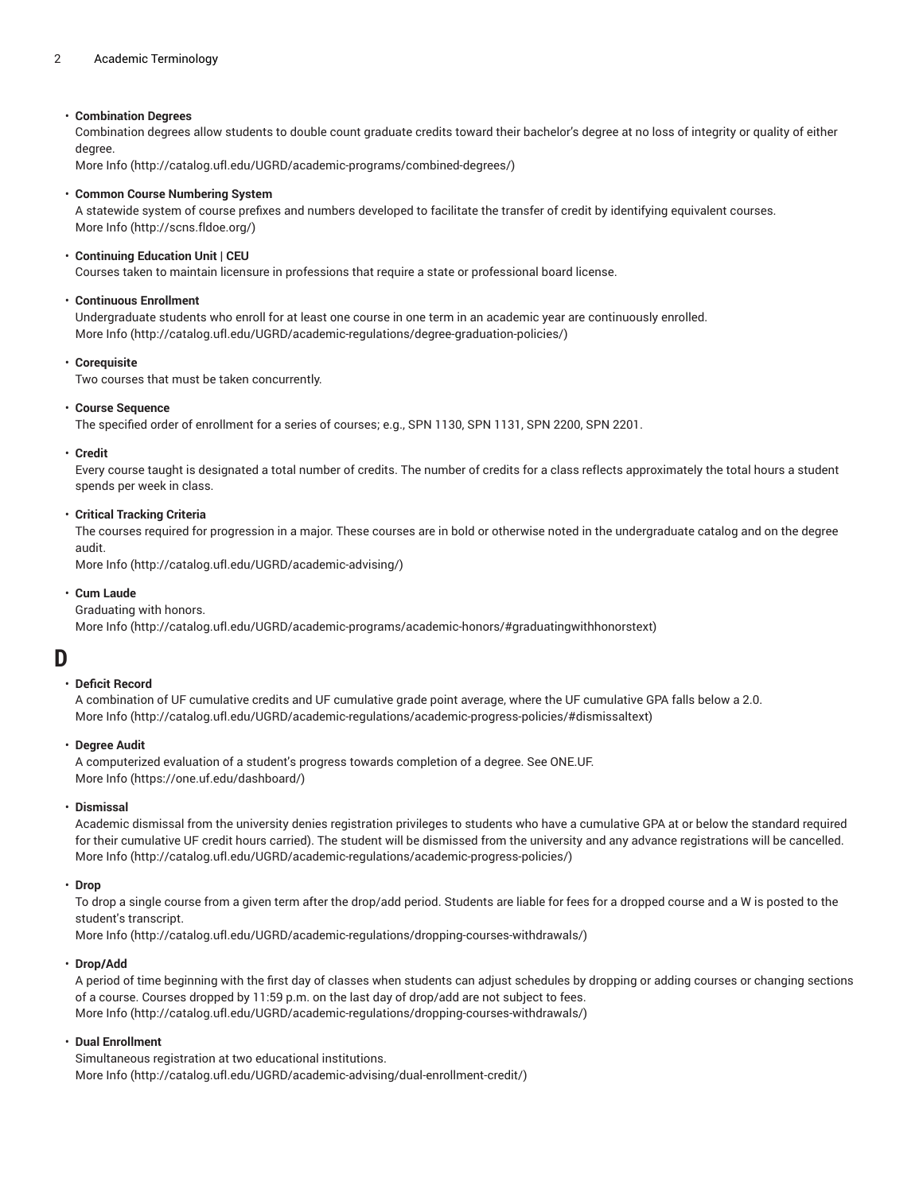#### 2 Academic Terminology

#### • **Combination Degrees**

Combination degrees allow students to double count graduate credits toward their bachelor's degree at no loss of integrity or quality of either degree.

[More](http://catalog.ufl.edu/UGRD/academic-programs/combined-degrees/) Info [\(http://catalog.ufl.edu/UGRD/academic-programs/combined-degrees/](http://catalog.ufl.edu/UGRD/academic-programs/combined-degrees/))

#### • **Common Course Numbering System**

A statewide system of course prefixes and numbers developed to facilitate the transfer of credit by identifying equivalent courses. [More](http://scns.fldoe.org/) Info [\(http://scns.fldoe.org/](http://scns.fldoe.org/))

#### • **Continuing Education Unit | CEU**

Courses taken to maintain licensure in professions that require a state or professional board license.

#### • **Continuous Enrollment**

Undergraduate students who enroll for at least one course in one term in an academic year are continuously enrolled. [More](http://catalog.ufl.edu/UGRD/academic-regulations/degree-graduation-policies/) Info [\(http://catalog.ufl.edu/UGRD/academic-regulations/degree-graduation-policies/](http://catalog.ufl.edu/UGRD/academic-regulations/degree-graduation-policies/))

#### • **Corequisite**

Two courses that must be taken concurrently.

#### • **Course Sequence**

The specified order of enrollment for a series of courses; e.g., SPN 1130, SPN 1131, SPN 2200, SPN 2201.

#### • **Credit**

Every course taught is designated a total number of credits. The number of credits for a class reflects approximately the total hours a student spends per week in class.

#### • **Critical Tracking Criteria**

The courses required for progression in a major. These courses are in bold or otherwise noted in the undergraduate catalog and on the degree audit.

[More](http://catalog.ufl.edu/UGRD/academic-advising/) Info [\(http://catalog.ufl.edu/UGRD/academic-advising/](http://catalog.ufl.edu/UGRD/academic-advising/))

#### • **Cum Laude**

#### Graduating with honors.

[More](http://catalog.ufl.edu/UGRD/academic-programs/academic-honors/#graduatingwithhonorstext) Info [\(http://catalog.ufl.edu/UGRD/academic-programs/academic-honors/#graduatingwithhonorstext](http://catalog.ufl.edu/UGRD/academic-programs/academic-honors/#graduatingwithhonorstext))

### <span id="page-1-0"></span>**D**

#### • **Deficit Record**

A combination of UF cumulative credits and UF cumulative grade point average, where the UF cumulative GPA falls below a 2.0. [More](http://catalog.ufl.edu/UGRD/academic-regulations/academic-progress-policies/#dismissaltext) Info [\(http://catalog.ufl.edu/UGRD/academic-regulations/academic-progress-policies/#dismissaltext](http://catalog.ufl.edu/UGRD/academic-regulations/academic-progress-policies/#dismissaltext))

#### • **Degree Audit**

A computerized evaluation of a student's progress towards completion of a degree. See ONE.UF. [More](https://one.uf.edu/dashboard/) Info [\(https://one.uf.edu/dashboard/\)](https://one.uf.edu/dashboard/)

#### • **Dismissal**

Academic dismissal from the university denies registration privileges to students who have a cumulative GPA at or below the standard required for their cumulative UF credit hours carried). The student will be dismissed from the university and any advance registrations will be cancelled. [More](http://catalog.ufl.edu/UGRD/academic-regulations/academic-progress-policies/) Info [\(http://catalog.ufl.edu/UGRD/academic-regulations/academic-progress-policies/](http://catalog.ufl.edu/UGRD/academic-regulations/academic-progress-policies/))

#### • **Drop**

To drop a single course from a given term after the drop/add period. Students are liable for fees for a dropped course and a W is posted to the student's transcript.

[More](http://catalog.ufl.edu/UGRD/academic-regulations/dropping-courses-withdrawals/) Info [\(http://catalog.ufl.edu/UGRD/academic-regulations/dropping-courses-withdrawals/](http://catalog.ufl.edu/UGRD/academic-regulations/dropping-courses-withdrawals/))

#### • **Drop/Add**

A period of time beginning with the first day of classes when students can adjust schedules by dropping or adding courses or changing sections of a course. Courses dropped by 11:59 p.m. on the last day of drop/add are not subject to fees. [More](http://catalog.ufl.edu/UGRD/academic-regulations/dropping-courses-withdrawals/) Info [\(http://catalog.ufl.edu/UGRD/academic-regulations/dropping-courses-withdrawals/](http://catalog.ufl.edu/UGRD/academic-regulations/dropping-courses-withdrawals/))

#### • **Dual Enrollment**

Simultaneous registration at two educational institutions. [More](http://catalog.ufl.edu/UGRD/academic-advising/dual-enrollment-credit/) Info [\(http://catalog.ufl.edu/UGRD/academic-advising/dual-enrollment-credit/](http://catalog.ufl.edu/UGRD/academic-advising/dual-enrollment-credit/))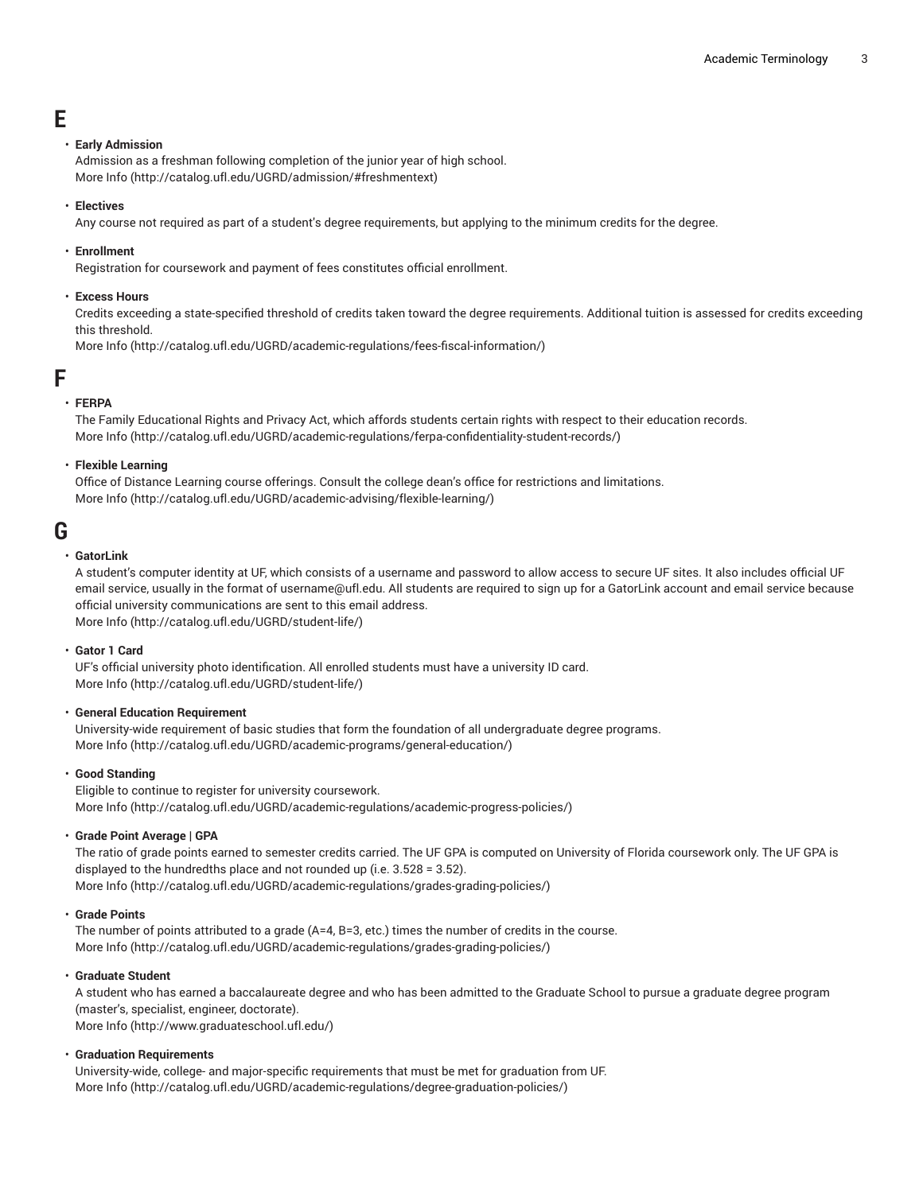# <span id="page-2-0"></span>**E**

#### • **Early Admission**

Admission as a freshman following completion of the junior year of high school. [More](http://catalog.ufl.edu/UGRD/admission/#freshmentext) Info [\(http://catalog.ufl.edu/UGRD/admission/#freshmentext\)](http://catalog.ufl.edu/UGRD/admission/#freshmentext)

• **Electives**

Any course not required as part of a student's degree requirements, but applying to the minimum credits for the degree.

• **Enrollment**

Registration for coursework and payment of fees constitutes official enrollment.

#### • **Excess Hours**

Credits exceeding a state-specified threshold of credits taken toward the degree requirements. Additional tuition is assessed for credits exceeding this threshold.

[More](http://catalog.ufl.edu/UGRD/academic-regulations/fees-fiscal-information/) Info [\(http://catalog.ufl.edu/UGRD/academic-regulations/fees-fiscal-information/](http://catalog.ufl.edu/UGRD/academic-regulations/fees-fiscal-information/))

### <span id="page-2-1"></span>**F**

#### • **FERPA**

The Family Educational Rights and Privacy Act, which affords students certain rights with respect to their education records. [More](http://catalog.ufl.edu/UGRD/academic-regulations/ferpa-confidentiality-student-records/) Info [\(http://catalog.ufl.edu/UGRD/academic-regulations/ferpa-confidentiality-student-records/](http://catalog.ufl.edu/UGRD/academic-regulations/ferpa-confidentiality-student-records/))

#### • **Flexible Learning**

Office of Distance Learning course offerings. Consult the college dean's office for restrictions and limitations. [More](http://catalog.ufl.edu/UGRD/academic-advising/flexible-learning/) Info [\(http://catalog.ufl.edu/UGRD/academic-advising/flexible-learning/](http://catalog.ufl.edu/UGRD/academic-advising/flexible-learning/))

## <span id="page-2-2"></span>**G**

#### • **GatorLink**

A student's computer identity at UF, which consists of a username and password to allow access to secure UF sites. It also includes official UF email service, usually in the format of username@ufl.edu. All students are required to sign up for a GatorLink account and email service because official university communications are sent to this email address. [More](http://catalog.ufl.edu/UGRD/student-life/) Info [\(http://catalog.ufl.edu/UGRD/student-life/](http://catalog.ufl.edu/UGRD/student-life/))

#### • **Gator 1 Card**

UF's official university photo identification. All enrolled students must have a university ID card. [More](http://catalog.ufl.edu/UGRD/student-life/) Info [\(http://catalog.ufl.edu/UGRD/student-life/](http://catalog.ufl.edu/UGRD/student-life/))

#### • **General Education Requirement**

University-wide requirement of basic studies that form the foundation of all undergraduate degree programs. [More](http://catalog.ufl.edu/UGRD/academic-programs/general-education/) Info [\(http://catalog.ufl.edu/UGRD/academic-programs/general-education/](http://catalog.ufl.edu/UGRD/academic-programs/general-education/))

#### • **Good Standing**

Eligible to continue to register for university coursework. [More](http://catalog.ufl.edu/UGRD/academic-regulations/academic-progress-policies/) Info [\(http://catalog.ufl.edu/UGRD/academic-regulations/academic-progress-policies/](http://catalog.ufl.edu/UGRD/academic-regulations/academic-progress-policies/))

#### • **Grade Point Average | GPA**

The ratio of grade points earned to semester credits carried. The UF GPA is computed on University of Florida coursework only. The UF GPA is displayed to the hundredths place and not rounded up (i.e. 3.528 = 3.52).

[More](http://catalog.ufl.edu/UGRD/academic-regulations/grades-grading-policies/) Info [\(http://catalog.ufl.edu/UGRD/academic-regulations/grades-grading-policies/\)](http://catalog.ufl.edu/UGRD/academic-regulations/grades-grading-policies/)

#### • **Grade Points**

The number of points attributed to a grade (A=4, B=3, etc.) times the number of credits in the course. [More](http://catalog.ufl.edu/UGRD/academic-regulations/grades-grading-policies/) Info [\(http://catalog.ufl.edu/UGRD/academic-regulations/grades-grading-policies/\)](http://catalog.ufl.edu/UGRD/academic-regulations/grades-grading-policies/)

#### • **Graduate Student**

A student who has earned a baccalaureate degree and who has been admitted to the Graduate School to pursue a graduate degree program (master's, specialist, engineer, doctorate). [More](http://www.graduateschool.ufl.edu/) Info [\(http://www.graduateschool.ufl.edu/\)](http://www.graduateschool.ufl.edu/)

#### • **Graduation Requirements**

University-wide, college- and major-specific requirements that must be met for graduation from UF. [More](http://catalog.ufl.edu/UGRD/academic-regulations/degree-graduation-policies/) Info [\(http://catalog.ufl.edu/UGRD/academic-regulations/degree-graduation-policies/](http://catalog.ufl.edu/UGRD/academic-regulations/degree-graduation-policies/))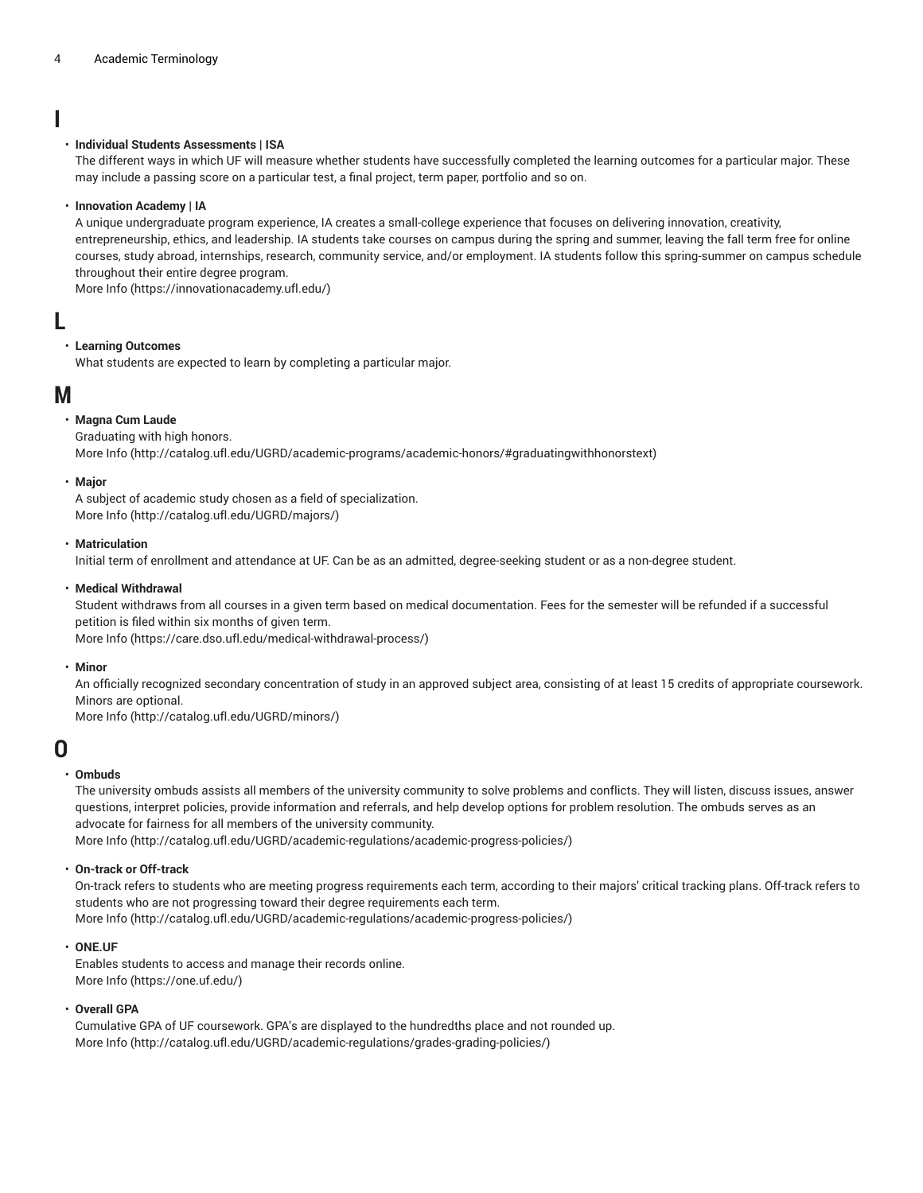### <span id="page-3-0"></span>**I**

#### • **Individual Students Assessments | ISA**

The different ways in which UF will measure whether students have successfully completed the learning outcomes for a particular major. These may include a passing score on a particular test, a final project, term paper, portfolio and so on.

#### • **Innovation Academy | IA**

A unique undergraduate program experience, IA creates a small-college experience that focuses on delivering innovation, creativity, entrepreneurship, ethics, and leadership. IA students take courses on campus during the spring and summer, leaving the fall term free for online courses, study abroad, internships, research, community service, and/or employment. IA students follow this spring-summer on campus schedule throughout their entire degree program.

<span id="page-3-1"></span>[More](https://innovationacademy.ufl.edu/) Info [\(https://innovationacademy.ufl.edu/\)](https://innovationacademy.ufl.edu/)

### **L**

#### • **Learning Outcomes**

<span id="page-3-2"></span>What students are expected to learn by completing a particular major.

### **M**

#### • **Magna Cum Laude**

#### Graduating with high honors.

[More](http://catalog.ufl.edu/UGRD/academic-programs/academic-honors/#graduatingwithhonorstext) Info [\(http://catalog.ufl.edu/UGRD/academic-programs/academic-honors/#graduatingwithhonorstext](http://catalog.ufl.edu/UGRD/academic-programs/academic-honors/#graduatingwithhonorstext))

#### • **Major**

A subject of academic study chosen as a field of specialization. [More](http://catalog.ufl.edu/UGRD/majors/) Info [\(http://catalog.ufl.edu/UGRD/majors/](http://catalog.ufl.edu/UGRD/majors/))

#### • **Matriculation**

Initial term of enrollment and attendance at UF. Can be as an admitted, degree-seeking student or as a non-degree student.

#### • **Medical Withdrawal**

Student withdraws from all courses in a given term based on medical documentation. Fees for the semester will be refunded if a successful petition is filed within six months of given term.

[More](https://care.dso.ufl.edu/medical-withdrawal-process/) Info [\(https://care.dso.ufl.edu/medical-withdrawal-process/\)](https://care.dso.ufl.edu/medical-withdrawal-process/)

#### • **Minor**

An officially recognized secondary concentration of study in an approved subject area, consisting of at least 15 credits of appropriate coursework. Minors are optional.

<span id="page-3-3"></span>[More](http://catalog.ufl.edu/UGRD/minors/) Info [\(http://catalog.ufl.edu/UGRD/minors/\)](http://catalog.ufl.edu/UGRD/minors/)

### **O**

#### • **Ombuds**

The university ombuds assists all members of the university community to solve problems and conflicts. They will listen, discuss issues, answer questions, interpret policies, provide information and referrals, and help develop options for problem resolution. The ombuds serves as an advocate for fairness for all members of the university community.

[More](http://catalog.ufl.edu/UGRD/academic-regulations/academic-progress-policies/) Info [\(http://catalog.ufl.edu/UGRD/academic-regulations/academic-progress-policies/](http://catalog.ufl.edu/UGRD/academic-regulations/academic-progress-policies/))

#### • **On-track or Off-track**

On-track refers to students who are meeting progress requirements each term, according to their majors' critical tracking plans. Off-track refers to students who are not progressing toward their degree requirements each term. [More](http://catalog.ufl.edu/UGRD/academic-regulations/academic-progress-policies/) Info [\(http://catalog.ufl.edu/UGRD/academic-regulations/academic-progress-policies/](http://catalog.ufl.edu/UGRD/academic-regulations/academic-progress-policies/))

• **ONE.UF**

Enables students to access and manage their records online. [More](https://one.uf.edu/) Info [\(https://one.uf.edu/](https://one.uf.edu/))

#### • **Overall GPA**

Cumulative GPA of UF coursework. GPA's are displayed to the hundredths place and not rounded up. [More](http://catalog.ufl.edu/UGRD/academic-regulations/grades-grading-policies/) Info [\(http://catalog.ufl.edu/UGRD/academic-regulations/grades-grading-policies/\)](http://catalog.ufl.edu/UGRD/academic-regulations/grades-grading-policies/)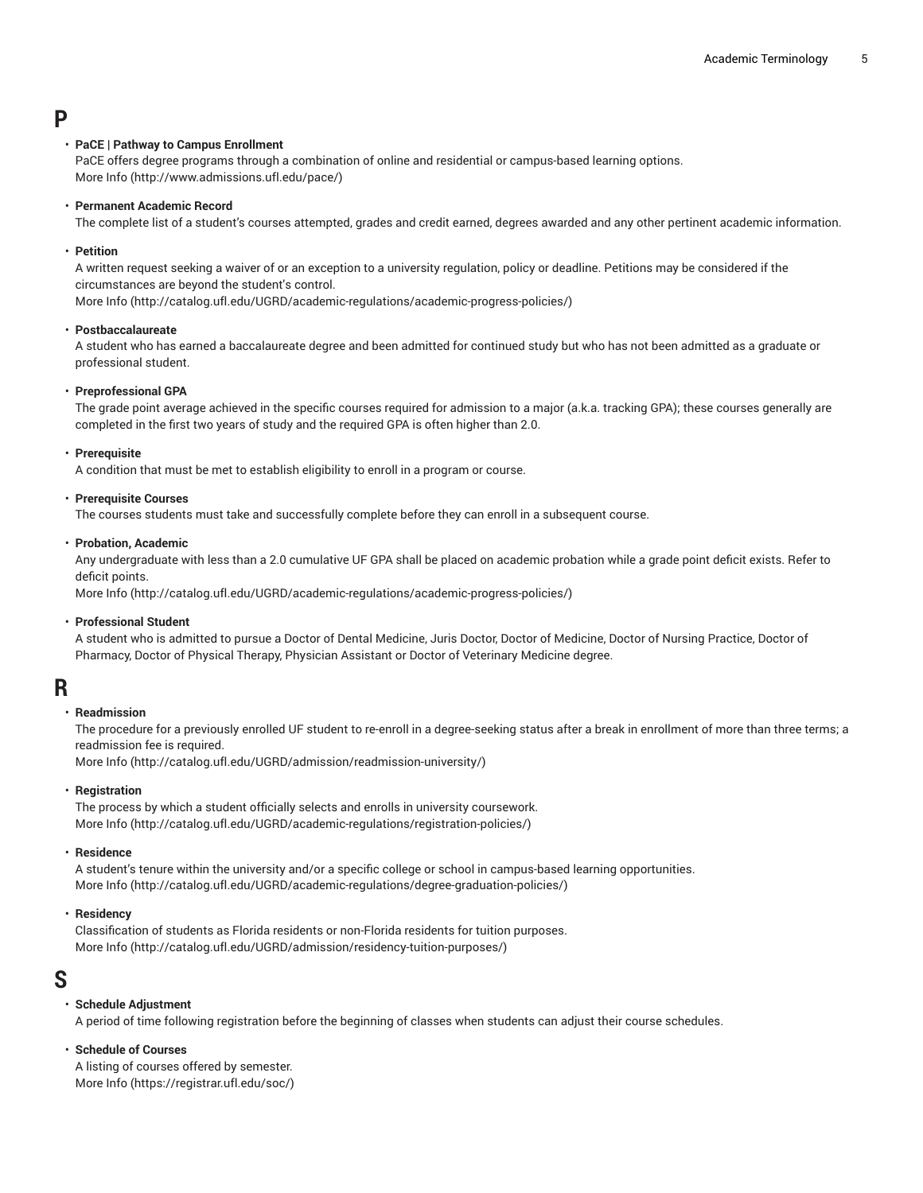### <span id="page-4-0"></span>**P**

#### • **PaCE | Pathway to Campus Enrollment**

PaCE offers degree programs through a combination of online and residential or campus-based learning options. [More](http://www.admissions.ufl.edu/pace/) Info [\(http://www.admissions.ufl.edu/pace/\)](http://www.admissions.ufl.edu/pace/)

#### • **Permanent Academic Record**

The complete list of a student's courses attempted, grades and credit earned, degrees awarded and any other pertinent academic information.

#### • **Petition**

A written request seeking a waiver of or an exception to a university regulation, policy or deadline. Petitions may be considered if the circumstances are beyond the student's control.

[More](http://catalog.ufl.edu/UGRD/academic-regulations/academic-progress-policies/) Info [\(http://catalog.ufl.edu/UGRD/academic-regulations/academic-progress-policies/](http://catalog.ufl.edu/UGRD/academic-regulations/academic-progress-policies/))

#### • **Postbaccalaureate**

A student who has earned a baccalaureate degree and been admitted for continued study but who has not been admitted as a graduate or professional student.

#### • **Preprofessional GPA**

The grade point average achieved in the specific courses required for admission to a major (a.k.a. tracking GPA); these courses generally are completed in the first two years of study and the required GPA is often higher than 2.0.

#### • **Prerequisite**

A condition that must be met to establish eligibility to enroll in a program or course.

#### • **Prerequisite Courses**

The courses students must take and successfully complete before they can enroll in a subsequent course.

#### • **Probation, Academic**

Any undergraduate with less than a 2.0 cumulative UF GPA shall be placed on academic probation while a grade point deficit exists. Refer to deficit points.

[More](http://catalog.ufl.edu/UGRD/academic-regulations/academic-progress-policies/) Info [\(http://catalog.ufl.edu/UGRD/academic-regulations/academic-progress-policies/](http://catalog.ufl.edu/UGRD/academic-regulations/academic-progress-policies/))

#### • **Professional Student**

A student who is admitted to pursue a Doctor of Dental Medicine, Juris Doctor, Doctor of Medicine, Doctor of Nursing Practice, Doctor of Pharmacy, Doctor of Physical Therapy, Physician Assistant or Doctor of Veterinary Medicine degree.

### <span id="page-4-1"></span>**R**

#### • **Readmission**

The procedure for a previously enrolled UF student to re-enroll in a degree-seeking status after a break in enrollment of more than three terms; a readmission fee is required.

[More](http://catalog.ufl.edu/UGRD/admission/readmission-university/) Info [\(http://catalog.ufl.edu/UGRD/admission/readmission-university/\)](http://catalog.ufl.edu/UGRD/admission/readmission-university/)

#### • **Registration**

The process by which a student officially selects and enrolls in university coursework. [More](http://catalog.ufl.edu/UGRD/academic-regulations/registration-policies/) Info [\(http://catalog.ufl.edu/UGRD/academic-regulations/registration-policies/\)](http://catalog.ufl.edu/UGRD/academic-regulations/registration-policies/)

#### • **Residence**

A student's tenure within the university and/or a specific college or school in campus-based learning opportunities. [More](http://catalog.ufl.edu/UGRD/academic-regulations/degree-graduation-policies/) Info [\(http://catalog.ufl.edu/UGRD/academic-regulations/degree-graduation-policies/](http://catalog.ufl.edu/UGRD/academic-regulations/degree-graduation-policies/))

#### • **Residency**

Classification of students as Florida residents or non-Florida residents for tuition purposes. [More](http://catalog.ufl.edu/UGRD/admission/residency-tuition-purposes/) Info [\(http://catalog.ufl.edu/UGRD/admission/residency-tuition-purposes/\)](http://catalog.ufl.edu/UGRD/admission/residency-tuition-purposes/)

### <span id="page-4-2"></span>**S**

#### • **Schedule Adjustment**

A period of time following registration before the beginning of classes when students can adjust their course schedules.

#### • **Schedule of Courses**

A listing of courses offered by semester. [More](https://registrar.ufl.edu/soc/) Info [\(https://registrar.ufl.edu/soc/\)](https://registrar.ufl.edu/soc/)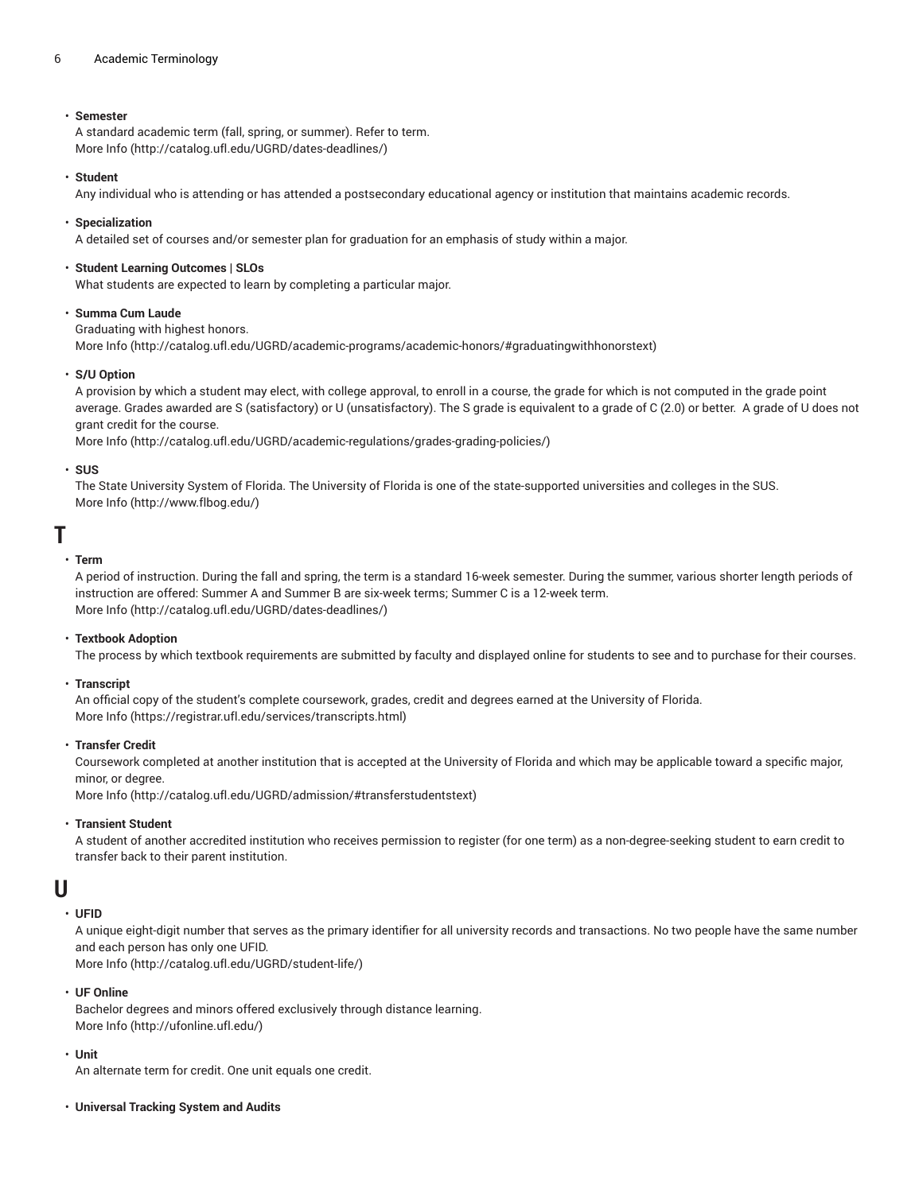#### 6 Academic Terminology

#### • **Semester**

A standard academic term (fall, spring, or summer). Refer to term. [More](http://catalog.ufl.edu/UGRD/dates-deadlines/) Info [\(http://catalog.ufl.edu/UGRD/dates-deadlines/\)](http://catalog.ufl.edu/UGRD/dates-deadlines/)

#### • **Student**

Any individual who is attending or has attended a postsecondary educational agency or institution that maintains academic records.

#### • **Specialization**

A detailed set of courses and/or semester plan for graduation for an emphasis of study within a major.

#### • **Student Learning Outcomes | SLOs**

What students are expected to learn by completing a particular major.

#### • **Summa Cum Laude**

Graduating with highest honors.

[More](http://catalog.ufl.edu/UGRD/academic-programs/academic-honors/#graduatingwithhonorstext) Info [\(http://catalog.ufl.edu/UGRD/academic-programs/academic-honors/#graduatingwithhonorstext](http://catalog.ufl.edu/UGRD/academic-programs/academic-honors/#graduatingwithhonorstext))

#### • **S/U Option**

A provision by which a student may elect, with college approval, to enroll in a course, the grade for which is not computed in the grade point average. Grades awarded are S (satisfactory) or U (unsatisfactory). The S grade is equivalent to a grade of C (2.0) or better. A grade of U does not grant credit for the course.

[More](http://catalog.ufl.edu/UGRD/academic-regulations/grades-grading-policies/) Info [\(http://catalog.ufl.edu/UGRD/academic-regulations/grades-grading-policies/\)](http://catalog.ufl.edu/UGRD/academic-regulations/grades-grading-policies/)

#### • **SUS**

The State University System of Florida. The University of Florida is one of the state-supported universities and colleges in the SUS. [More](http://www.flbog.edu/) Info [\(http://www.flbog.edu/](http://www.flbog.edu/))

### <span id="page-5-0"></span>**T**

#### • **Term**

A period of instruction. During the fall and spring, the term is a standard 16-week semester. During the summer, various shorter length periods of instruction are offered: Summer A and Summer B are six-week terms; Summer C is a 12-week term. [More](http://catalog.ufl.edu/UGRD/dates-deadlines/) Info [\(http://catalog.ufl.edu/UGRD/dates-deadlines/\)](http://catalog.ufl.edu/UGRD/dates-deadlines/)

#### • **Textbook Adoption**

The process by which textbook requirements are submitted by faculty and displayed online for students to see and to purchase for their courses.

#### • **Transcript**

An official copy of the student's complete coursework, grades, credit and degrees earned at the University of Florida. [More](https://registrar.ufl.edu/services/transcripts.html) Info [\(https://registrar.ufl.edu/services/transcripts.html](https://registrar.ufl.edu/services/transcripts.html))

#### • **Transfer Credit**

Coursework completed at another institution that is accepted at the University of Florida and which may be applicable toward a specific major, minor, or degree.

[More](http://catalog.ufl.edu/UGRD/admission/#transferstudentstext) Info [\(http://catalog.ufl.edu/UGRD/admission/#transferstudentstext\)](http://catalog.ufl.edu/UGRD/admission/#transferstudentstext)

#### • **Transient Student**

A student of another accredited institution who receives permission to register (for one term) as a non-degree-seeking student to earn credit to transfer back to their parent institution.

### <span id="page-5-1"></span>**U**

#### • **UFID**

A unique eight-digit number that serves as the primary identifier for all university records and transactions. No two people have the same number and each person has only one UFID.

[More](http://catalog.ufl.edu/UGRD/student-life/) Info [\(http://catalog.ufl.edu/UGRD/student-life/](http://catalog.ufl.edu/UGRD/student-life/))

#### • **UF Online**

Bachelor degrees and minors offered exclusively through distance learning. [More](http://ufonline.ufl.edu/) Info [\(http://ufonline.ufl.edu/\)](http://ufonline.ufl.edu/)

#### • **Unit**

An alternate term for credit. One unit equals one credit.

• **Universal Tracking System and Audits**